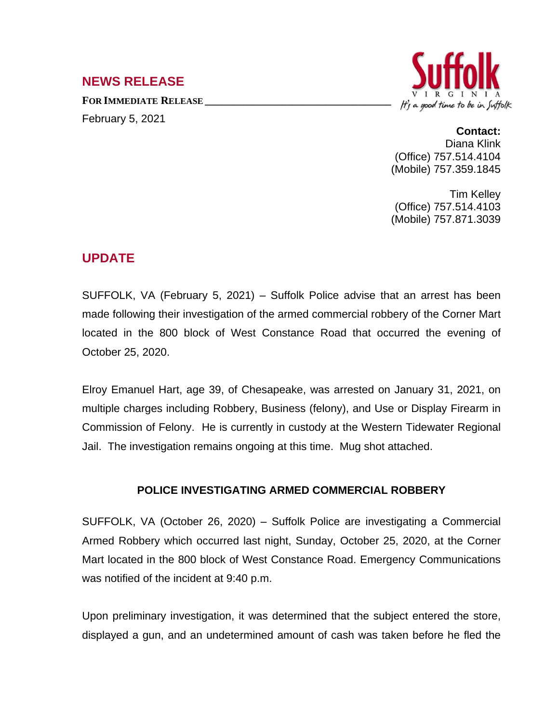## **NEWS RELEASE**

**FOR IMMEDIATE RELEASE \_\_\_\_\_\_\_\_\_\_\_\_\_\_\_\_\_\_\_\_\_\_\_\_\_\_\_\_\_\_\_\_\_\_** February 5, 2021



## **Contact:**

Diana Klink (Office) 757.514.4104 (Mobile) 757.359.1845

Tim Kelley (Office) 757.514.4103 (Mobile) 757.871.3039

## **UPDATE**

SUFFOLK, VA (February 5, 2021) – Suffolk Police advise that an arrest has been made following their investigation of the armed commercial robbery of the Corner Mart located in the 800 block of West Constance Road that occurred the evening of October 25, 2020.

Elroy Emanuel Hart, age 39, of Chesapeake, was arrested on January 31, 2021, on multiple charges including Robbery, Business (felony), and Use or Display Firearm in Commission of Felony. He is currently in custody at the Western Tidewater Regional Jail. The investigation remains ongoing at this time. Mug shot attached.

## **POLICE INVESTIGATING ARMED COMMERCIAL ROBBERY**

SUFFOLK, VA (October 26, 2020) – Suffolk Police are investigating a Commercial Armed Robbery which occurred last night, Sunday, October 25, 2020, at the Corner Mart located in the 800 block of West Constance Road. Emergency Communications was notified of the incident at 9:40 p.m.

Upon preliminary investigation, it was determined that the subject entered the store, displayed a gun, and an undetermined amount of cash was taken before he fled the